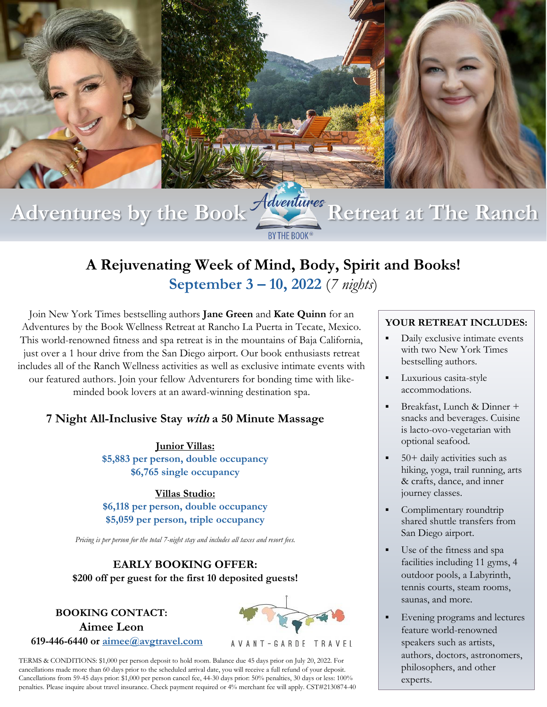

# **A Rejuvenating Week of Mind, Body, Spirit and Books! September 3 – 10, 2022** (*7 nights*)

Join New York Times bestselling authors **Jane Green** and **Kate Quinn** for an Adventures by the Book Wellness Retreat at Rancho La Puerta in Tecate, Mexico. This world-renowned fitness and spa retreat is in the mountains of Baja California, just over a 1 hour drive from the San Diego airport. Our book enthusiasts retreat includes all of the Ranch Wellness activities as well as exclusive intimate events with our featured authors. Join your fellow Adventurers for bonding time with likeminded book lovers at an award-winning destination spa.

### **7 Night All-Inclusive Stay with a 50 Minute Massage**

**Junior Villas: \$5,883 per person, double occupancy \$6,765 single occupancy**

**Villas Studio: \$6,118 per person, double occupancy \$5,059 per person, triple occupancy**

*Pricing is per person for the total 7-night stay and includes all taxes and resort fees.*

### **EARLY BOOKING OFFER: \$200 off per guest for the first 10 deposited guests!**

### **BOOKING CONTACT: Aimee Leon 619-446-6440 or [aimee@avgtravel.com](mailto:aimee@avgtravel.com)**



#### AVANT-GARDE TRAVEL

TERMS & CONDITIONS: \$1,000 per person deposit to hold room. Balance due 45 days prior on July 20, 2022. For cancellations made more than 60 days prior to the scheduled arrival date, you will receive a full refund of your deposit. Cancellations from 59-45 days prior: \$1,000 per person cancel fee, 44-30 days prior: 50% penalties, 30 days or less: 100% penalties. Please inquire about travel insurance. Check payment required or 4% merchant fee will apply. CST#2130874-40

#### **YOUR RETREAT INCLUDES:**

- Daily exclusive intimate events with two New York Times bestselling authors.
- **•** Luxurious casita-style accommodations.
- Breakfast, Lunch & Dinner + snacks and beverages. Cuisine is lacto-ovo-vegetarian with optional seafood.
- 50+ daily activities such as hiking, yoga, trail running, arts & crafts, dance, and inner journey classes.
- Complimentary roundtrip shared shuttle transfers from San Diego airport.
- Use of the fitness and spa facilities including 11 gyms, 4 outdoor pools, a Labyrinth, tennis courts, steam rooms, saunas, and more.
- Evening programs and lectures feature world-renowned speakers such as artists, authors, doctors, astronomers, philosophers, and other experts.